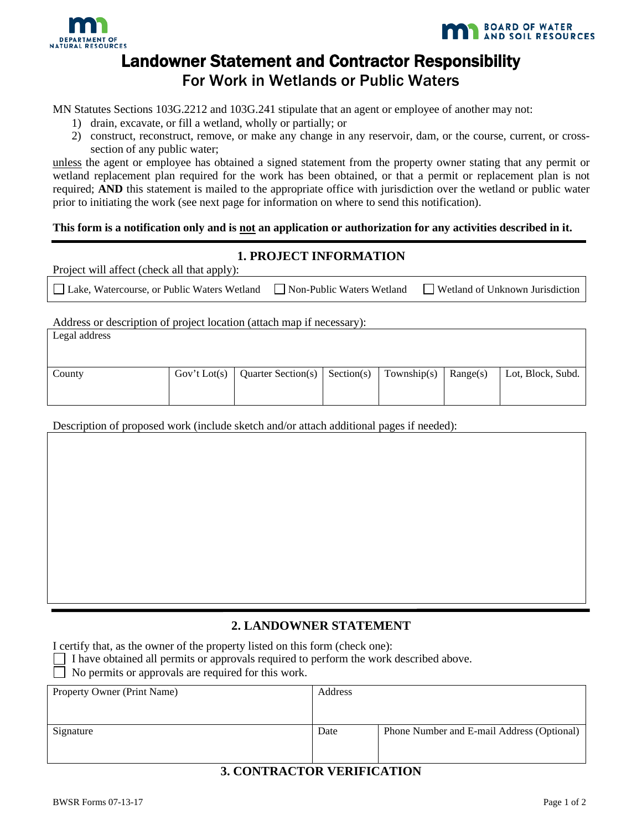



# Landowner Statement and Contractor Responsibility For Work in Wetlands or Public Waters

MN Statutes Sections 103G.2212 and 103G.241 stipulate that an agent or employee of another may not:

- 1) drain, excavate, or fill a wetland, wholly or partially; or
- 2) construct, reconstruct, remove, or make any change in any reservoir, dam, or the course, current, or crosssection of any public water;

unless the agent or employee has obtained a signed statement from the property owner stating that any permit or wetland replacement plan required for the work has been obtained, or that a permit or replacement plan is not required; **AND** this statement is mailed to the appropriate office with jurisdiction over the wetland or public water prior to initiating the work (see next page for information on where to send this notification).

## **This form is a notification only and is not an application or authorization for any activities described in it.**

#### **1. PROJECT INFORMATION**

| Project will affect (check all that apply):                               |                                        |
|---------------------------------------------------------------------------|----------------------------------------|
| □ Lake, Watercourse, or Public Waters Wetland □ Non-Public Waters Wetland | $\Box$ Wetland of Unknown Jurisdiction |

Address or description of project location (attach map if necessary):

| Legal address |                                   |                                |          |                   |
|---------------|-----------------------------------|--------------------------------|----------|-------------------|
| County        | Gov't Lot(s)   Quarter Section(s) | Section(s) $\vert$ Township(s) | Range(s) | Lot, Block, Subd. |
|               |                                   |                                |          |                   |

Description of proposed work (include sketch and/or attach additional pages if needed):

# **2. LANDOWNER STATEMENT**

I certify that, as the owner of the property listed on this form (check one):

I have obtained all permits or approvals required to perform the work described above.

No permits or approvals are required for this work.

| Property Owner (Print Name) | Address |                                            |
|-----------------------------|---------|--------------------------------------------|
|                             |         |                                            |
| Signature                   | Date    | Phone Number and E-mail Address (Optional) |
|                             |         |                                            |

# **3. CONTRACTOR VERIFICATION**